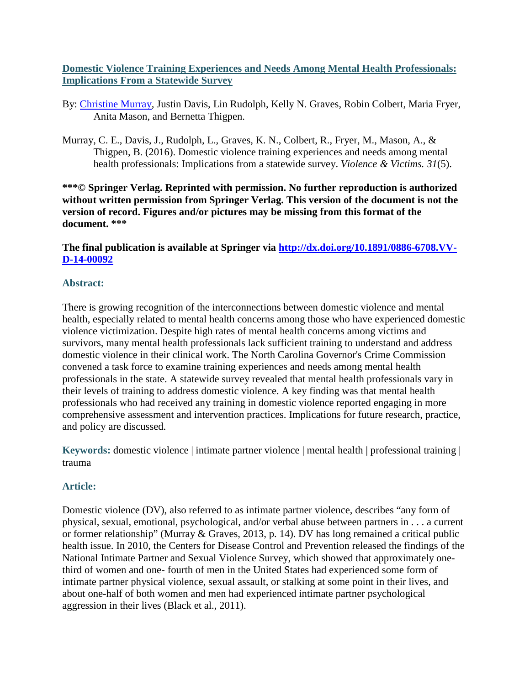# **Domestic Violence Training Experiences and Needs Among Mental Health Professionals: Implications From a Statewide Survey**

- By: [Christine Murray,](http://libres.uncg.edu/ir/uncg/clist.aspx?id=894) Justin Davis, Lin Rudolph, Kelly N. Graves, Robin Colbert, Maria Fryer, Anita Mason, and Bernetta Thigpen.
- Murray, C. E., Davis, J., Rudolph, L., Graves, K. N., Colbert, R., Fryer, M., Mason, A., & Thigpen, B. (2016). Domestic violence training experiences and needs among mental health professionals: Implications from a statewide survey. *Violence & Victims. 31*(5).

**\*\*\*© Springer Verlag. Reprinted with permission. No further reproduction is authorized without written permission from Springer Verlag. This version of the document is not the version of record. Figures and/or pictures may be missing from this format of the document. \*\*\***

**The final publication is available at Springer via [http://dx.doi.org/10.1891/0886-6708.VV-](http://dx.doi.org/10.1891/0886-6708.VV-D-14-00092)[D-14-00092](http://dx.doi.org/10.1891/0886-6708.VV-D-14-00092)**

# **Abstract:**

There is growing recognition of the interconnections between domestic violence and mental health, especially related to mental health concerns among those who have experienced domestic violence victimization. Despite high rates of mental health concerns among victims and survivors, many mental health professionals lack sufficient training to understand and address domestic violence in their clinical work. The North Carolina Governor's Crime Commission convened a task force to examine training experiences and needs among mental health professionals in the state. A statewide survey revealed that mental health professionals vary in their levels of training to address domestic violence. A key finding was that mental health professionals who had received any training in domestic violence reported engaging in more comprehensive assessment and intervention practices. Implications for future research, practice, and policy are discussed.

**Keywords:** domestic violence | intimate partner violence | mental health | professional training | trauma

# **Article:**

Domestic violence (DV), also referred to as intimate partner violence, describes "any form of physical, sexual, emotional, psychological, and/or verbal abuse between partners in . . . a current or former relationship" (Murray & Graves, 2013, p. 14). DV has long remained a critical public health issue. In 2010, the Centers for Disease Control and Prevention released the findings of the National Intimate Partner and Sexual Violence Survey, which showed that approximately onethird of women and one- fourth of men in the United States had experienced some form of intimate partner physical violence, sexual assault, or stalking at some point in their lives, and about one-half of both women and men had experienced intimate partner psychological aggression in their lives (Black et al., 2011).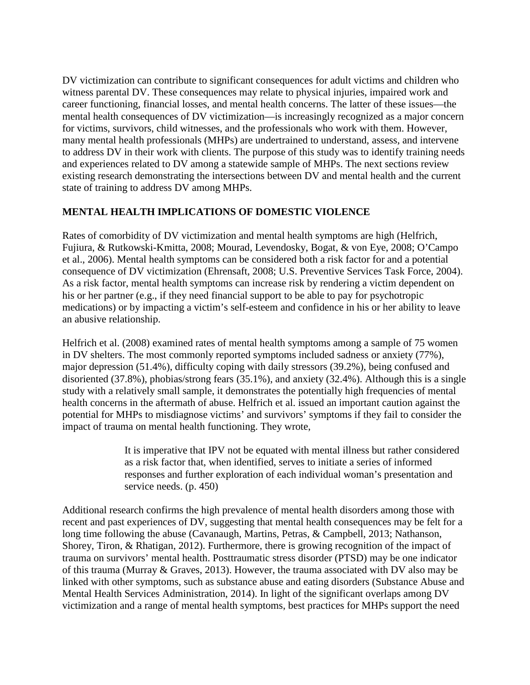DV victimization can contribute to significant consequences for adult victims and children who witness parental DV. These consequences may relate to physical injuries, impaired work and career functioning, financial losses, and mental health concerns. The latter of these issues—the mental health consequences of DV victimization—is increasingly recognized as a major concern for victims, survivors, child witnesses, and the professionals who work with them. However, many mental health professionals (MHPs) are undertrained to understand, assess, and intervene to address DV in their work with clients. The purpose of this study was to identify training needs and experiences related to DV among a statewide sample of MHPs. The next sections review existing research demonstrating the intersections between DV and mental health and the current state of training to address DV among MHPs.

# **MENTAL HEALTH IMPLICATIONS OF DOMESTIC VIOLENCE**

Rates of comorbidity of DV victimization and mental health symptoms are high (Helfrich, Fujiura, & Rutkowski-Kmitta, 2008; Mourad, Levendosky, Bogat, & von Eye, 2008; O'Campo et al., 2006). Mental health symptoms can be considered both a risk factor for and a potential consequence of DV victimization (Ehrensaft, 2008; U.S. Preventive Services Task Force, 2004). As a risk factor, mental health symptoms can increase risk by rendering a victim dependent on his or her partner (e.g., if they need financial support to be able to pay for psychotropic medications) or by impacting a victim's self-esteem and confidence in his or her ability to leave an abusive relationship.

Helfrich et al. (2008) examined rates of mental health symptoms among a sample of 75 women in DV shelters. The most commonly reported symptoms included sadness or anxiety (77%), major depression (51.4%), difficulty coping with daily stressors (39.2%), being confused and disoriented (37.8%), phobias/strong fears (35.1%), and anxiety (32.4%). Although this is a single study with a relatively small sample, it demonstrates the potentially high frequencies of mental health concerns in the aftermath of abuse. Helfrich et al. issued an important caution against the potential for MHPs to misdiagnose victims' and survivors' symptoms if they fail to consider the impact of trauma on mental health functioning. They wrote,

> It is imperative that IPV not be equated with mental illness but rather considered as a risk factor that, when identified, serves to initiate a series of informed responses and further exploration of each individual woman's presentation and service needs. (p. 450)

Additional research confirms the high prevalence of mental health disorders among those with recent and past experiences of DV, suggesting that mental health consequences may be felt for a long time following the abuse (Cavanaugh, Martins, Petras, & Campbell, 2013; Nathanson, Shorey, Tiron, & Rhatigan, 2012). Furthermore, there is growing recognition of the impact of trauma on survivors' mental health. Posttraumatic stress disorder (PTSD) may be one indicator of this trauma (Murray & Graves, 2013). However, the trauma associated with DV also may be linked with other symptoms, such as substance abuse and eating disorders (Substance Abuse and Mental Health Services Administration, 2014). In light of the significant overlaps among DV victimization and a range of mental health symptoms, best practices for MHPs support the need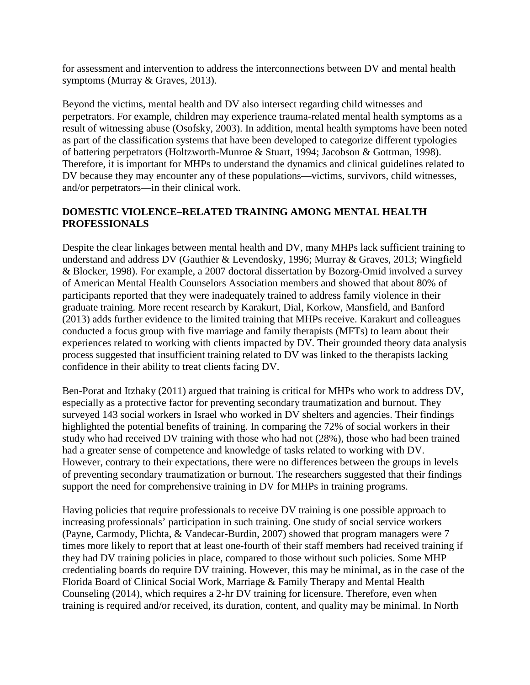for assessment and intervention to address the interconnections between DV and mental health symptoms (Murray & Graves, 2013).

Beyond the victims, mental health and DV also intersect regarding child witnesses and perpetrators. For example, children may experience trauma-related mental health symptoms as a result of witnessing abuse (Osofsky, 2003). In addition, mental health symptoms have been noted as part of the classification systems that have been developed to categorize different typologies of battering perpetrators (Holtzworth-Munroe & Stuart, 1994; Jacobson & Gottman, 1998). Therefore, it is important for MHPs to understand the dynamics and clinical guidelines related to DV because they may encounter any of these populations—victims, survivors, child witnesses, and/or perpetrators—in their clinical work.

# **DOMESTIC VIOLENCE–RELATED TRAINING AMONG MENTAL HEALTH PROFESSIONALS**

Despite the clear linkages between mental health and DV, many MHPs lack sufficient training to understand and address DV (Gauthier & Levendosky, 1996; Murray & Graves, 2013; Wingfield & Blocker, 1998). For example, a 2007 doctoral dissertation by Bozorg-Omid involved a survey of American Mental Health Counselors Association members and showed that about 80% of participants reported that they were inadequately trained to address family violence in their graduate training. More recent research by Karakurt, Dial, Korkow, Mansfield, and Banford (2013) adds further evidence to the limited training that MHPs receive. Karakurt and colleagues conducted a focus group with five marriage and family therapists (MFTs) to learn about their experiences related to working with clients impacted by DV. Their grounded theory data analysis process suggested that insufficient training related to DV was linked to the therapists lacking confidence in their ability to treat clients facing DV.

Ben-Porat and Itzhaky (2011) argued that training is critical for MHPs who work to address DV, especially as a protective factor for preventing secondary traumatization and burnout. They surveyed 143 social workers in Israel who worked in DV shelters and agencies. Their findings highlighted the potential benefits of training. In comparing the 72% of social workers in their study who had received DV training with those who had not (28%), those who had been trained had a greater sense of competence and knowledge of tasks related to working with DV. However, contrary to their expectations, there were no differences between the groups in levels of preventing secondary traumatization or burnout. The researchers suggested that their findings support the need for comprehensive training in DV for MHPs in training programs.

Having policies that require professionals to receive DV training is one possible approach to increasing professionals' participation in such training. One study of social service workers (Payne, Carmody, Plichta, & Vandecar-Burdin, 2007) showed that program managers were 7 times more likely to report that at least one-fourth of their staff members had received training if they had DV training policies in place, compared to those without such policies. Some MHP credentialing boards do require DV training. However, this may be minimal, as in the case of the Florida Board of Clinical Social Work, Marriage & Family Therapy and Mental Health Counseling (2014), which requires a 2-hr DV training for licensure. Therefore, even when training is required and/or received, its duration, content, and quality may be minimal. In North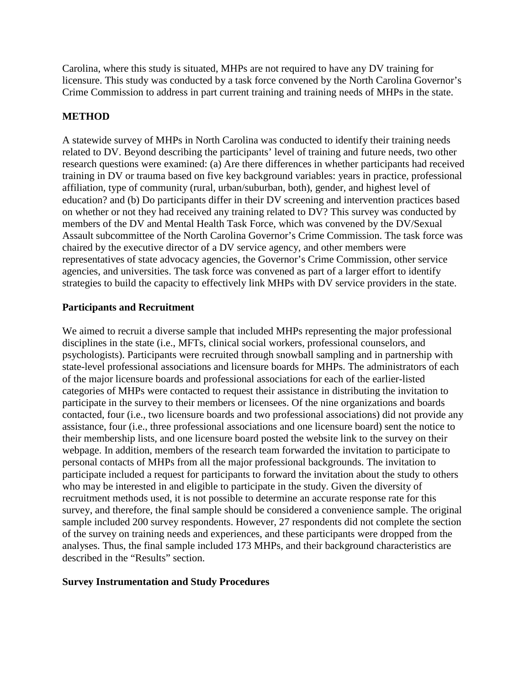Carolina, where this study is situated, MHPs are not required to have any DV training for licensure. This study was conducted by a task force convened by the North Carolina Governor's Crime Commission to address in part current training and training needs of MHPs in the state.

# **METHOD**

A statewide survey of MHPs in North Carolina was conducted to identify their training needs related to DV. Beyond describing the participants' level of training and future needs, two other research questions were examined: (a) Are there differences in whether participants had received training in DV or trauma based on five key background variables: years in practice, professional affiliation, type of community (rural, urban/suburban, both), gender, and highest level of education? and (b) Do participants differ in their DV screening and intervention practices based on whether or not they had received any training related to DV? This survey was conducted by members of the DV and Mental Health Task Force, which was convened by the DV/Sexual Assault subcommittee of the North Carolina Governor's Crime Commission. The task force was chaired by the executive director of a DV service agency, and other members were representatives of state advocacy agencies, the Governor's Crime Commission, other service agencies, and universities. The task force was convened as part of a larger effort to identify strategies to build the capacity to effectively link MHPs with DV service providers in the state.

## **Participants and Recruitment**

We aimed to recruit a diverse sample that included MHPs representing the major professional disciplines in the state (i.e., MFTs, clinical social workers, professional counselors, and psychologists). Participants were recruited through snowball sampling and in partnership with state-level professional associations and licensure boards for MHPs. The administrators of each of the major licensure boards and professional associations for each of the earlier-listed categories of MHPs were contacted to request their assistance in distributing the invitation to participate in the survey to their members or licensees. Of the nine organizations and boards contacted, four (i.e., two licensure boards and two professional associations) did not provide any assistance, four (i.e., three professional associations and one licensure board) sent the notice to their membership lists, and one licensure board posted the website link to the survey on their webpage. In addition, members of the research team forwarded the invitation to participate to personal contacts of MHPs from all the major professional backgrounds. The invitation to participate included a request for participants to forward the invitation about the study to others who may be interested in and eligible to participate in the study. Given the diversity of recruitment methods used, it is not possible to determine an accurate response rate for this survey, and therefore, the final sample should be considered a convenience sample. The original sample included 200 survey respondents. However, 27 respondents did not complete the section of the survey on training needs and experiences, and these participants were dropped from the analyses. Thus, the final sample included 173 MHPs, and their background characteristics are described in the "Results" section.

### **Survey Instrumentation and Study Procedures**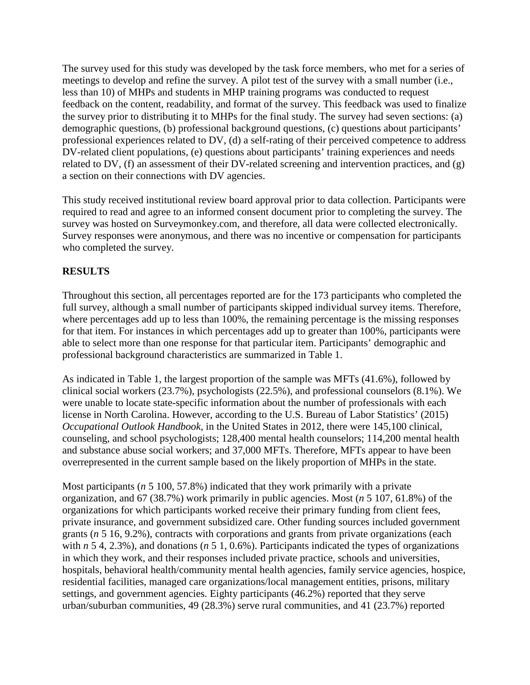The survey used for this study was developed by the task force members, who met for a series of meetings to develop and refine the survey. A pilot test of the survey with a small number (i.e., less than 10) of MHPs and students in MHP training programs was conducted to request feedback on the content, readability, and format of the survey. This feedback was used to finalize the survey prior to distributing it to MHPs for the final study. The survey had seven sections: (a) demographic questions, (b) professional background questions, (c) questions about participants' professional experiences related to DV, (d) a self-rating of their perceived competence to address DV-related client populations, (e) questions about participants' training experiences and needs related to DV, (f) an assessment of their DV-related screening and intervention practices, and (g) a section on their connections with DV agencies.

This study received institutional review board approval prior to data collection. Participants were required to read and agree to an informed consent document prior to completing the survey. The survey was hosted on Surveymonkey.com, and therefore, all data were collected electronically. Survey responses were anonymous, and there was no incentive or compensation for participants who completed the survey.

# **RESULTS**

Throughout this section, all percentages reported are for the 173 participants who completed the full survey, although a small number of participants skipped individual survey items. Therefore, where percentages add up to less than 100%, the remaining percentage is the missing responses for that item. For instances in which percentages add up to greater than 100%, participants were able to select more than one response for that particular item. Participants' demographic and professional background characteristics are summarized in Table 1.

As indicated in Table 1, the largest proportion of the sample was MFTs (41.6%), followed by clinical social workers (23.7%), psychologists (22.5%), and professional counselors (8.1%). We were unable to locate state-specific information about the number of professionals with each license in North Carolina. However, according to the U.S. Bureau of Labor Statistics' (2015) *Occupational Outlook Handbook*, in the United States in 2012, there were 145,100 clinical, counseling, and school psychologists; 128,400 mental health counselors; 114,200 mental health and substance abuse social workers; and 37,000 MFTs. Therefore, MFTs appear to have been overrepresented in the current sample based on the likely proportion of MHPs in the state.

Most participants (*n* 5 100, 57.8%) indicated that they work primarily with a private organization, and 67 (38.7%) work primarily in public agencies. Most (*n* 5 107, 61.8%) of the organizations for which participants worked receive their primary funding from client fees, private insurance, and government subsidized care. Other funding sources included government grants (*n* 5 16, 9.2%), contracts with corporations and grants from private organizations (each with *n* 5 4, 2.3%), and donations (*n* 5 1, 0.6%). Participants indicated the types of organizations in which they work, and their responses included private practice, schools and universities, hospitals, behavioral health/community mental health agencies, family service agencies, hospice, residential facilities, managed care organizations/local management entities, prisons, military settings, and government agencies. Eighty participants (46.2%) reported that they serve urban/suburban communities, 49 (28.3%) serve rural communities, and 41 (23.7%) reported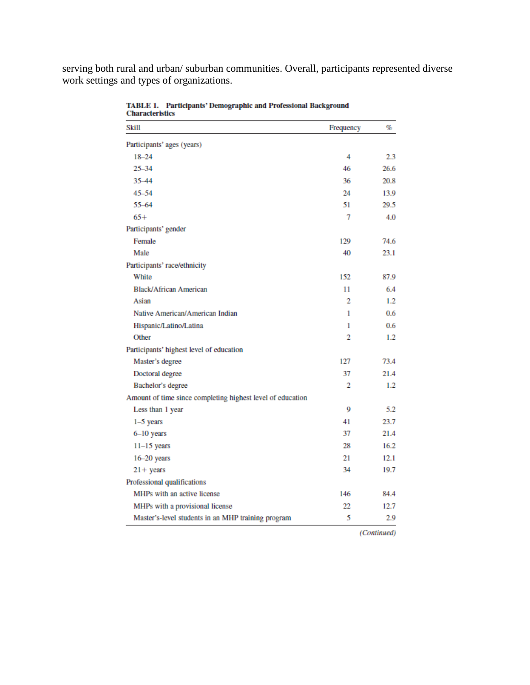serving both rural and urban/ suburban communities. Overall, participants represented diverse work settings and types of organizations.

| Skill                                                      | Frequency | %    |
|------------------------------------------------------------|-----------|------|
| Participants' ages (years)                                 |           |      |
| $18 - 24$                                                  | 4         | 2.3  |
| $25 - 34$                                                  | 46        | 26.6 |
| 35-44                                                      | 36        | 20.8 |
| $45 - 54$                                                  | 24        | 13.9 |
| 55-64                                                      | 51        | 29.5 |
| $65+$                                                      | 7         | 4.0  |
| Participants' gender                                       |           |      |
| Female                                                     | 129       | 74.6 |
| Male                                                       | 40        | 23.1 |
| Participants' race/ethnicity                               |           |      |
| White                                                      | 152       | 87.9 |
| <b>Black/African American</b>                              | 11        | 6.4  |
| Asian                                                      | 2         | 1.2  |
| Native American/American Indian                            | 1         | 0.6  |
| Hispanic/Latino/Latina                                     | 1         | 0.6  |
| Other                                                      | 2         | 1.2  |
| Participants' highest level of education                   |           |      |
| Master's degree                                            | 127       | 73.4 |
| Doctoral degree                                            | 37        | 21.4 |
| Bachelor's degree                                          | 2         | 1.2  |
| Amount of time since completing highest level of education |           |      |
| Less than 1 year                                           | 9         | 5.2  |
| $1-5$ years                                                | 41        | 23.7 |
| 6-10 years                                                 | 37        | 21.4 |
| $11-15$ years                                              | 28        | 16.2 |
| 16-20 years                                                | 21        | 12.1 |
| $21 + years$                                               | 34        | 19.7 |
| Professional qualifications                                |           |      |
| MHPs with an active license                                | 146       | 84.4 |
| MHPs with a provisional license                            | 22        | 12.7 |
| Master's-level students in an MHP training program         | 5         | 2.9  |

**TABLE 1. Participants' Demographic and Professional Background Characteristics** 

(Continued)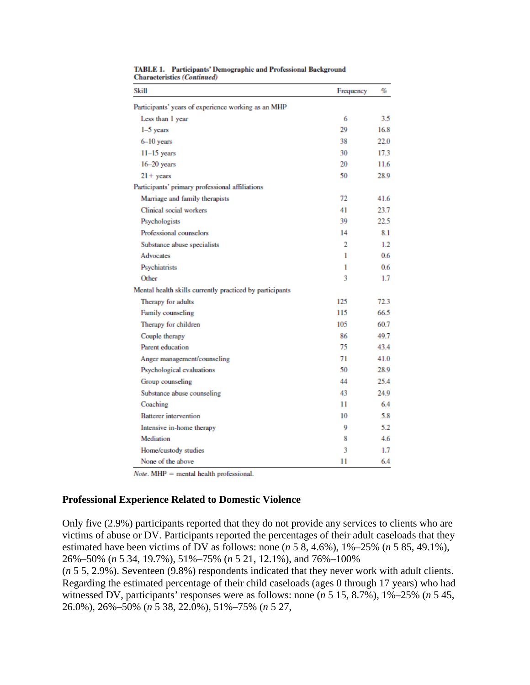| Skill                                                    | Frequency | %    |
|----------------------------------------------------------|-----------|------|
| Participants' years of experience working as an MHP      |           |      |
| Less than 1 year                                         | 6         | 3.5  |
| $1-5$ years                                              | 29        | 16.8 |
| $6-10$ years                                             | 38        | 22.0 |
| $11-15$ years                                            | 30        | 17.3 |
| $16-20$ years                                            | 20        | 11.6 |
| $21 +$ years                                             | 50        | 28.9 |
| Participants' primary professional affiliations          |           |      |
| Marriage and family therapists                           | 72        | 41.6 |
| Clinical social workers                                  | 41        | 23.7 |
| Psychologists                                            | 39        | 22.5 |
| Professional counselors                                  | 14        | 8.1  |
| Substance abuse specialists                              | 2         | 1.2  |
| Advocates                                                | 1         | 0.6  |
| Psychiatrists                                            | 1         | 0.6  |
| Other                                                    | 3         | 1.7  |
| Mental health skills currently practiced by participants |           |      |
| Therapy for adults                                       | 125       | 72.3 |
| Family counseling                                        | 115       | 66.5 |
| Therapy for children                                     | 105       | 60.7 |
| Couple therapy                                           | 86        | 49.7 |
| Parent education                                         | 75        | 43.4 |
| Anger management/counseling                              | 71        | 41.0 |
| Psychological evaluations                                | 50        | 28.9 |
| Group counseling                                         | 44        | 25.4 |
| Substance abuse counseling                               | 43        | 24.9 |
| Coaching                                                 | 11        | 6.4  |
| <b>Batterer</b> intervention                             | 10        | 5.8  |
| Intensive in-home therapy                                | 0         | 5.2  |
| Mediation                                                | 8         | 4.6  |
| Home/custody studies                                     | 3         | 1.7  |
| None of the above                                        | 11        | 6.4  |

TABLE 1. Participants' Demographic and Professional Background **Characteristics (Continued)** 

 $Note. MHP = mental health professional.$ 

### **Professional Experience Related to Domestic Violence**

Only five (2.9%) participants reported that they do not provide any services to clients who are victims of abuse or DV. Participants reported the percentages of their adult caseloads that they estimated have been victims of DV as follows: none (*n* 5 8, 4.6%), 1%–25% (*n* 5 85, 49.1%), 26%–50% (*n* 5 34, 19.7%), 51%–75% (*n* 5 21, 12.1%), and 76%–100%

(*n* 5 5, 2.9%). Seventeen (9.8%) respondents indicated that they never work with adult clients. Regarding the estimated percentage of their child caseloads (ages 0 through 17 years) who had witnessed DV, participants' responses were as follows: none (*n* 5 15, 8.7%), 1%–25% (*n* 5 45, 26.0%), 26%–50% (*n* 5 38, 22.0%), 51%–75% (*n* 5 27,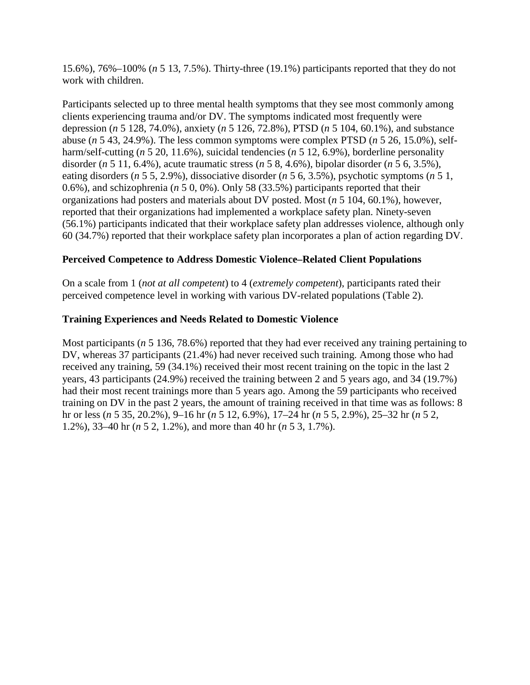15.6%), 76%–100% (*n* 5 13, 7.5%). Thirty-three (19.1%) participants reported that they do not work with children.

Participants selected up to three mental health symptoms that they see most commonly among clients experiencing trauma and/or DV. The symptoms indicated most frequently were depression (*n* 5 128, 74.0%), anxiety (*n* 5 126, 72.8%), PTSD (*n* 5 104, 60.1%), and substance abuse (*n* 5 43, 24.9%). The less common symptoms were complex PTSD (*n* 5 26, 15.0%), selfharm/self-cutting (*n* 5 20, 11.6%), suicidal tendencies (*n* 5 12, 6.9%), borderline personality disorder (*n* 5 11, 6.4%), acute traumatic stress (*n* 5 8, 4.6%), bipolar disorder (*n* 5 6, 3.5%), eating disorders (*n* 5 5, 2.9%), dissociative disorder (*n* 5 6, 3.5%), psychotic symptoms (*n* 5 1, 0.6%), and schizophrenia (*n* 5 0, 0%). Only 58 (33.5%) participants reported that their organizations had posters and materials about DV posted. Most (*n* 5 104, 60.1%), however, reported that their organizations had implemented a workplace safety plan. Ninety-seven (56.1%) participants indicated that their workplace safety plan addresses violence, although only 60 (34.7%) reported that their workplace safety plan incorporates a plan of action regarding DV.

## **Perceived Competence to Address Domestic Violence–Related Client Populations**

On a scale from 1 (*not at all competent*) to 4 (*extremely competent*), participants rated their perceived competence level in working with various DV-related populations (Table 2).

## **Training Experiences and Needs Related to Domestic Violence**

Most participants (*n* 5 136, 78.6%) reported that they had ever received any training pertaining to DV, whereas 37 participants (21.4%) had never received such training. Among those who had received any training, 59 (34.1%) received their most recent training on the topic in the last 2 years, 43 participants (24.9%) received the training between 2 and 5 years ago, and 34 (19.7%) had their most recent trainings more than 5 years ago. Among the 59 participants who received training on DV in the past 2 years, the amount of training received in that time was as follows: 8 hr or less (*n* 5 35, 20.2%), 9–16 hr (*n* 5 12, 6.9%), 17–24 hr (*n* 5 5, 2.9%), 25–32 hr (*n* 5 2, 1.2%), 33–40 hr (*n* 5 2, 1.2%), and more than 40 hr (*n* 5 3, 1.7%).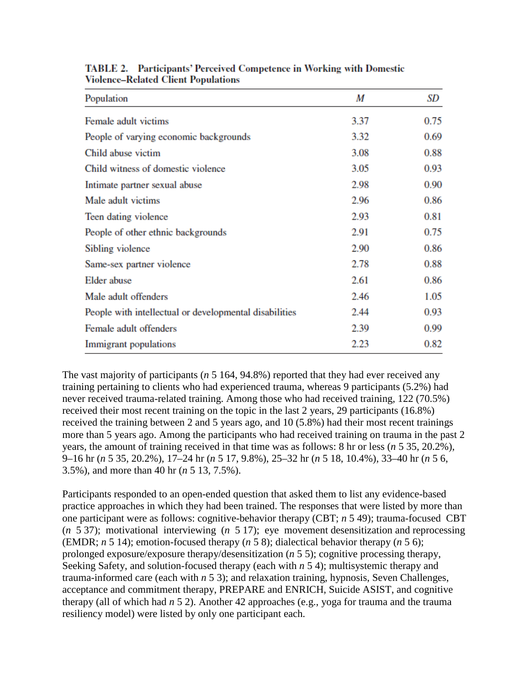| Population                                             | M    | SD   |
|--------------------------------------------------------|------|------|
| Female adult victims                                   | 3.37 | 0.75 |
| People of varying economic backgrounds                 | 3.32 | 0.69 |
| Child abuse victim                                     | 3.08 | 0.88 |
| Child witness of domestic violence                     | 3.05 | 0.93 |
| Intimate partner sexual abuse                          | 2.98 | 0.90 |
| Male adult victims                                     | 2.96 | 0.86 |
| Teen dating violence                                   | 2.93 | 0.81 |
| People of other ethnic backgrounds                     | 2.91 | 0.75 |
| Sibling violence                                       | 2.90 | 0.86 |
| Same-sex partner violence                              | 2.78 | 0.88 |
| Elder abuse                                            | 2.61 | 0.86 |
| Male adult offenders                                   | 2.46 | 1.05 |
| People with intellectual or developmental disabilities | 2.44 | 0.93 |
| Female adult offenders                                 | 2.39 | 0.99 |
| Immigrant populations                                  | 2.23 | 0.82 |

**TABLE 2.** Participants' Perceived Competence in Working with Domestic **Violence-Related Client Populations** 

The vast majority of participants (*n* 5 164, 94.8%) reported that they had ever received any training pertaining to clients who had experienced trauma, whereas 9 participants (5.2%) had never received trauma-related training. Among those who had received training, 122 (70.5%) received their most recent training on the topic in the last 2 years, 29 participants (16.8%) received the training between 2 and 5 years ago, and 10 (5.8%) had their most recent trainings more than 5 years ago. Among the participants who had received training on trauma in the past 2 years, the amount of training received in that time was as follows: 8 hr or less (*n* 5 35, 20.2%), 9–16 hr (*n* 5 35, 20.2%), 17–24 hr (*n* 5 17, 9.8%), 25–32 hr (*n* 5 18, 10.4%), 33–40 hr (*n* 5 6, 3.5%), and more than 40 hr (*n* 5 13, 7.5%).

Participants responded to an open-ended question that asked them to list any evidence-based practice approaches in which they had been trained. The responses that were listed by more than one participant were as follows: cognitive-behavior therapy (CBT; *n* 5 49); trauma-focused CBT (*n* 5 37); motivational interviewing (*n* 5 17); eye movement desensitization and reprocessing (EMDR; *n* 5 14); emotion-focused therapy (*n* 5 8); dialectical behavior therapy (*n* 5 6); prolonged exposure/exposure therapy/desensitization (*n* 5 5); cognitive processing therapy, Seeking Safety, and solution-focused therapy (each with *n* 5 4); multisystemic therapy and trauma-informed care (each with *n* 5 3); and relaxation training, hypnosis, Seven Challenges, acceptance and commitment therapy, PREPARE and ENRICH, Suicide ASIST, and cognitive therapy (all of which had *n* 5 2). Another 42 approaches (e.g., yoga for trauma and the trauma resiliency model) were listed by only one participant each.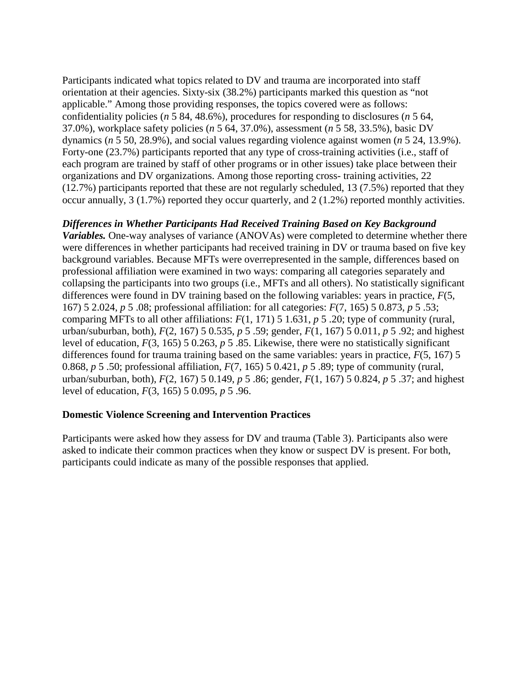Participants indicated what topics related to DV and trauma are incorporated into staff orientation at their agencies. Sixty-six (38.2%) participants marked this question as "not applicable." Among those providing responses, the topics covered were as follows: confidentiality policies (*n* 5 84, 48.6%), procedures for responding to disclosures (*n* 5 64, 37.0%), workplace safety policies (*n* 5 64, 37.0%), assessment (*n* 5 58, 33.5%), basic DV dynamics (*n* 5 50, 28.9%), and social values regarding violence against women (*n* 5 24, 13.9%). Forty-one (23.7%) participants reported that any type of cross-training activities (i.e., staff of each program are trained by staff of other programs or in other issues) take place between their organizations and DV organizations. Among those reporting cross- training activities, 22 (12.7%) participants reported that these are not regularly scheduled, 13 (7.5%) reported that they occur annually, 3 (1.7%) reported they occur quarterly, and 2 (1.2%) reported monthly activities.

# *Differences in Whether Participants Had Received Training Based on Key Background*

*Variables.* One-way analyses of variance (ANOVAs) were completed to determine whether there were differences in whether participants had received training in DV or trauma based on five key background variables. Because MFTs were overrepresented in the sample, differences based on professional affiliation were examined in two ways: comparing all categories separately and collapsing the participants into two groups (i.e., MFTs and all others). No statistically significant differences were found in DV training based on the following variables: years in practice, *F*(5, 167) 5 2.024, *p* 5 .08; professional affiliation: for all categories: *F*(7, 165) 5 0.873, *p* 5 .53; comparing MFTs to all other affiliations: *F*(1, 171) 5 1.631, *p* 5 .20; type of community (rural, urban/suburban, both), *F*(2, 167) 5 0.535, *p* 5 .59; gender, *F*(1, 167) 5 0.011, *p* 5 .92; and highest level of education, *F*(3, 165) 5 0.263, *p* 5 .85. Likewise, there were no statistically significant differences found for trauma training based on the same variables: years in practice, *F*(5, 167) 5 0.868, *p* 5 .50; professional affiliation, *F*(7, 165) 5 0.421, *p* 5 .89; type of community (rural, urban/suburban, both), *F*(2, 167) 5 0.149, *p* 5 .86; gender, *F*(1, 167) 5 0.824, *p* 5 .37; and highest level of education, *F*(3, 165) 5 0.095, *p* 5 .96.

### **Domestic Violence Screening and Intervention Practices**

Participants were asked how they assess for DV and trauma (Table 3). Participants also were asked to indicate their common practices when they know or suspect DV is present. For both, participants could indicate as many of the possible responses that applied.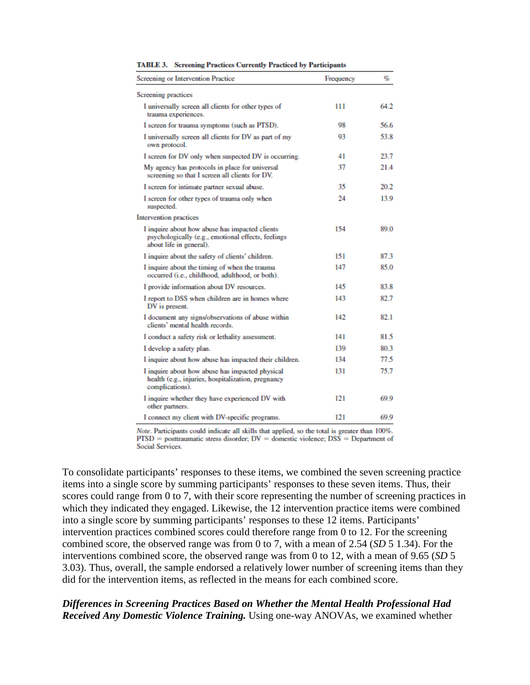| Screening or Intervention Practice                                                                                              | Frequency | %    |
|---------------------------------------------------------------------------------------------------------------------------------|-----------|------|
| Screening practices                                                                                                             |           |      |
| I universally screen all clients for other types of<br>trauma experiences.                                                      | 111       | 64.2 |
| I screen for trauma symptoms (such as PTSD).                                                                                    | 98        | 56.6 |
| I universally screen all clients for DV as part of my<br>own protocol.                                                          | 93        | 53.8 |
| I screen for DV only when suspected DV is occurring.                                                                            | 41        | 23.7 |
| My agency has protocols in place for universal<br>screening so that I screen all clients for DV.                                | 37        | 21.4 |
| I screen for intimate partner sexual abuse.                                                                                     | 35        | 20.2 |
| I screen for other types of trauma only when<br>suspected.                                                                      | 24        | 13.9 |
| Intervention practices                                                                                                          |           |      |
| I inquire about how abuse has impacted clients<br>psychologically (e.g., emotional effects, feelings<br>about life in general). | 154       | 89.0 |
| I inquire about the safety of clients' children.                                                                                | 151       | 87.3 |
| I inquire about the timing of when the trauma<br>occurred (i.e., childhood, adulthood, or both).                                | 147       | 85.0 |
| I provide information about DV resources.                                                                                       | 145       | 83.8 |
| I report to DSS when children are in homes where<br>DV is present.                                                              | 143       | 82.7 |
| I document any signs/observations of abuse within<br>clients' mental health records.                                            | 142       | 82.1 |
| I conduct a safety risk or lethality assessment.                                                                                | 141       | 81.5 |
| I develop a safety plan.                                                                                                        | 139       | 80.3 |
| I inquire about how abuse has impacted their children.                                                                          | 134       | 77.5 |
| I inquire about how abuse has impacted physical<br>health (e.g., injuries, hospitalization, pregnancy<br>complications).        | 131       | 75.7 |
| I inquire whether they have experienced DV with<br>other partners.                                                              | 121       | 69.9 |
| I connect my client with DV-specific programs.                                                                                  | 121       | 69.9 |

TABLE 3. Screening Practices Currently Practiced by Participants

Note. Participants could indicate all skills that applied, so the total is greater than 100%.  $PTSD$  = posttraumatic stress disorder;  $DV =$  domestic violence;  $DSS =$  Department of **Social Services** 

To consolidate participants' responses to these items, we combined the seven screening practice items into a single score by summing participants' responses to these seven items. Thus, their scores could range from 0 to 7, with their score representing the number of screening practices in which they indicated they engaged. Likewise, the 12 intervention practice items were combined into a single score by summing participants' responses to these 12 items. Participants' intervention practices combined scores could therefore range from 0 to 12. For the screening combined score, the observed range was from 0 to 7, with a mean of 2.54 (*SD* 5 1.34). For the interventions combined score, the observed range was from 0 to 12, with a mean of 9.65 (*SD* 5 3.03). Thus, overall, the sample endorsed a relatively lower number of screening items than they did for the intervention items, as reflected in the means for each combined score.

#### *Differences in Screening Practices Based on Whether the Mental Health Professional Had Received Any Domestic Violence Training.* Using one-way ANOVAs, we examined whether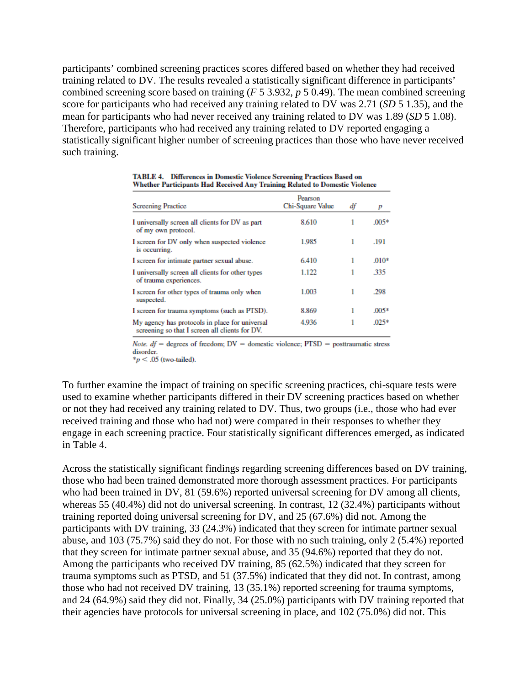participants' combined screening practices scores differed based on whether they had received training related to DV. The results revealed a statistically significant difference in participants' combined screening score based on training (*F* 5 3.932, *p* 5 0.49). The mean combined screening score for participants who had received any training related to DV was 2.71 (*SD* 5 1.35), and the mean for participants who had never received any training related to DV was 1.89 (*SD* 5 1.08). Therefore, participants who had received any training related to DV reported engaging a statistically significant higher number of screening practices than those who have never received such training.

| <b>Screening Practice</b>                                                                        | Pearson<br>Chi-Square Value | df | p       |
|--------------------------------------------------------------------------------------------------|-----------------------------|----|---------|
| I universally screen all clients for DV as part<br>of my own protocol.                           | 8.610                       |    | $.005*$ |
| I screen for DV only when suspected violence<br>is occurring.                                    | 1.985                       | 1  | .191    |
| I screen for intimate partner sexual abuse.                                                      | 6.410                       |    | $.010*$ |
| I universally screen all clients for other types<br>of trauma experiences.                       | 1.122                       |    | .335    |
| I screen for other types of trauma only when<br>suspected.                                       | 1.003                       | 1  | .298    |
| I screen for trauma symptoms (such as PTSD).                                                     | 8.869                       | 1  | $.005*$ |
| My agency has protocols in place for universal<br>screening so that I screen all clients for DV. | 4.936                       |    | $.025*$ |

TABLE 4. Differences in Domestic Violence Screening Practices Based on Whether Participants Had Received Any Training Related to Domestic Violence

*Note. df* = degrees of freedom;  $DV =$  domestic violence;  $PTSD =$  posttraumatic stress disorder.

 $*_p$  < .05 (two-tailed).

To further examine the impact of training on specific screening practices, chi-square tests were used to examine whether participants differed in their DV screening practices based on whether or not they had received any training related to DV. Thus, two groups (i.e., those who had ever received training and those who had not) were compared in their responses to whether they engage in each screening practice. Four statistically significant differences emerged, as indicated in Table 4.

Across the statistically significant findings regarding screening differences based on DV training, those who had been trained demonstrated more thorough assessment practices. For participants who had been trained in DV, 81 (59.6%) reported universal screening for DV among all clients, whereas 55 (40.4%) did not do universal screening. In contrast, 12 (32.4%) participants without training reported doing universal screening for DV, and 25 (67.6%) did not. Among the participants with DV training, 33 (24.3%) indicated that they screen for intimate partner sexual abuse, and 103 (75.7%) said they do not. For those with no such training, only 2 (5.4%) reported that they screen for intimate partner sexual abuse, and 35 (94.6%) reported that they do not. Among the participants who received DV training, 85 (62.5%) indicated that they screen for trauma symptoms such as PTSD, and 51 (37.5%) indicated that they did not. In contrast, among those who had not received DV training, 13 (35.1%) reported screening for trauma symptoms, and 24 (64.9%) said they did not. Finally, 34 (25.0%) participants with DV training reported that their agencies have protocols for universal screening in place, and 102 (75.0%) did not. This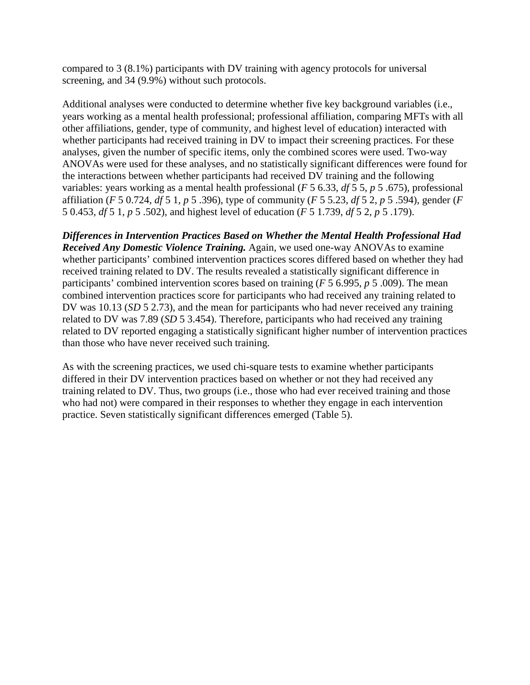compared to 3 (8.1%) participants with DV training with agency protocols for universal screening, and 34 (9.9%) without such protocols.

Additional analyses were conducted to determine whether five key background variables (i.e., years working as a mental health professional; professional affiliation, comparing MFTs with all other affiliations, gender, type of community, and highest level of education) interacted with whether participants had received training in DV to impact their screening practices. For these analyses, given the number of specific items, only the combined scores were used. Two-way ANOVAs were used for these analyses, and no statistically significant differences were found for the interactions between whether participants had received DV training and the following variables: years working as a mental health professional (*F* 5 6.33, *df* 5 5, *p* 5 .675), professional affiliation (*F* 5 0.724, *df* 5 1, *p* 5 .396), type of community (*F* 5 5.23, *df* 5 2, *p* 5 .594), gender (*F*  5 0.453, *df* 5 1, *p* 5 .502), and highest level of education (*F* 5 1.739, *df* 5 2, *p* 5 .179).

*Differences in Intervention Practices Based on Whether the Mental Health Professional Had Received Any Domestic Violence Training.* Again, we used one-way ANOVAs to examine whether participants' combined intervention practices scores differed based on whether they had received training related to DV. The results revealed a statistically significant difference in participants' combined intervention scores based on training (*F* 5 6.995, *p* 5 .009). The mean combined intervention practices score for participants who had received any training related to DV was 10.13 (*SD* 5 2.73), and the mean for participants who had never received any training related to DV was 7.89 (*SD* 5 3.454). Therefore, participants who had received any training related to DV reported engaging a statistically significant higher number of intervention practices than those who have never received such training.

As with the screening practices, we used chi-square tests to examine whether participants differed in their DV intervention practices based on whether or not they had received any training related to DV. Thus, two groups (i.e., those who had ever received training and those who had not) were compared in their responses to whether they engage in each intervention practice. Seven statistically significant differences emerged (Table 5).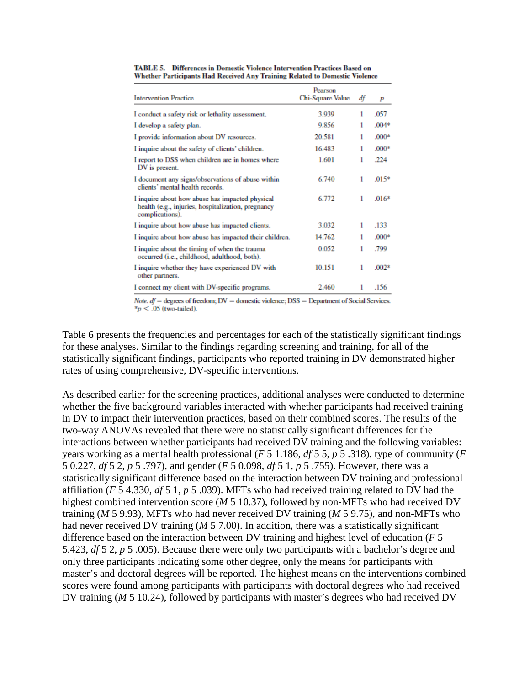| <b>Intervention Practice</b>                                                                                             | Pearson<br>Chi-Square Value | df | p       |
|--------------------------------------------------------------------------------------------------------------------------|-----------------------------|----|---------|
| I conduct a safety risk or lethality assessment.                                                                         | 3.939                       | 1  | .057    |
| I develop a safety plan.                                                                                                 | 9.856                       |    | $.004*$ |
| I provide information about DV resources.                                                                                | 20.581                      |    | $.000*$ |
| I inquire about the safety of clients' children.                                                                         | 16.483                      |    | $.000*$ |
| I report to DSS when children are in homes where<br>DV is present.                                                       | 1.601                       |    | .224    |
| I document any signs/observations of abuse within<br>clients' mental health records.                                     | 6.740                       | 1  | $.015*$ |
| I inquire about how abuse has impacted physical<br>health (e.g., injuries, hospitalization, pregnancy<br>complications). | 6.772                       | 1  | $.016*$ |
| I inquire about how abuse has impacted clients.                                                                          | 3.032                       | 1  | .133    |
| I inquire about how abuse has impacted their children.                                                                   | 14.762                      | 1  | $.000*$ |
| I inquire about the timing of when the trauma<br>occurred (i.e., childhood, adulthood, both).                            | 0.052                       | 1  | .799    |
| I inquire whether they have experienced DV with<br>other partners.                                                       | 10.151                      | 1  | $.002*$ |
| I connect my client with DV-specific programs.                                                                           | 2.460                       | 1  | .156    |

TABLE 5. Differences in Domestic Violence Intervention Practices Based on Whether Participants Had Received Any Training Related to Domestic Violence

Note.  $df =$  degrees of freedom;  $DV =$  domestic violence;  $DSS =$  Department of Social Services.  $*_p$  < .05 (two-tailed).

Table 6 presents the frequencies and percentages for each of the statistically significant findings for these analyses. Similar to the findings regarding screening and training, for all of the statistically significant findings, participants who reported training in DV demonstrated higher rates of using comprehensive, DV-specific interventions.

As described earlier for the screening practices, additional analyses were conducted to determine whether the five background variables interacted with whether participants had received training in DV to impact their intervention practices, based on their combined scores. The results of the two-way ANOVAs revealed that there were no statistically significant differences for the interactions between whether participants had received DV training and the following variables: years working as a mental health professional (*F* 5 1.186, *df* 5 5, *p* 5 .318), type of community (*F*  5 0.227, *df* 5 2, *p* 5 .797), and gender (*F* 5 0.098, *df* 5 1, *p* 5 .755). However, there was a statistically significant difference based on the interaction between DV training and professional affiliation (*F* 5 4.330, *df* 5 1, *p* 5 .039). MFTs who had received training related to DV had the highest combined intervention score (*M* 5 10.37), followed by non-MFTs who had received DV training (*M* 5 9.93), MFTs who had never received DV training (*M* 5 9.75), and non-MFTs who had never received DV training (*M* 5 7.00). In addition, there was a statistically significant difference based on the interaction between DV training and highest level of education (*F* 5 5.423, *df* 5 2, *p* 5 .005). Because there were only two participants with a bachelor's degree and only three participants indicating some other degree, only the means for participants with master's and doctoral degrees will be reported. The highest means on the interventions combined scores were found among participants with participants with doctoral degrees who had received DV training (*M* 5 10.24), followed by participants with master's degrees who had received DV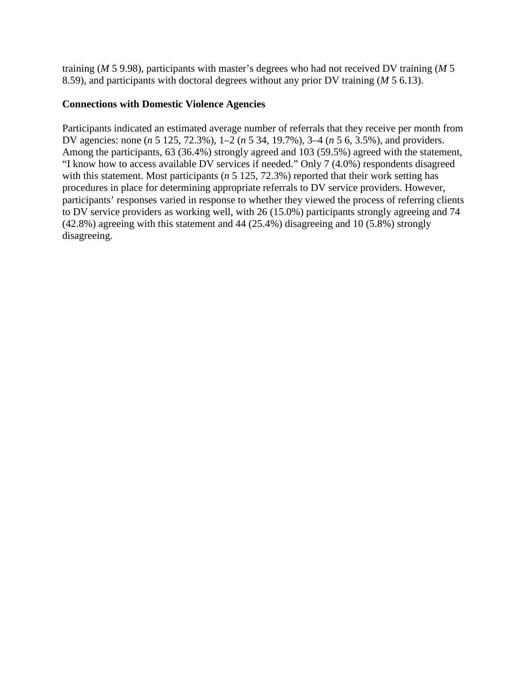training (*M* 5 9.98), participants with master's degrees who had not received DV training (*M* 5 8.59), and participants with doctoral degrees without any prior DV training (*M* 5 6.13).

## **Connections with Domestic Violence Agencies**

Participants indicated an estimated average number of referrals that they receive per month from DV agencies: none (*n* 5 125, 72.3%), 1–2 (*n* 5 34, 19.7%), 3–4 (*n* 5 6, 3.5%), and providers. Among the participants, 63 (36.4%) strongly agreed and 103 (59.5%) agreed with the statement, "I know how to access available DV services if needed." Only 7 (4.0%) respondents disagreed with this statement. Most participants (*n* 5 125, 72.3%) reported that their work setting has procedures in place for determining appropriate referrals to DV service providers. However, participants' responses varied in response to whether they viewed the process of referring clients to DV service providers as working well, with 26 (15.0%) participants strongly agreeing and 74 (42.8%) agreeing with this statement and 44 (25.4%) disagreeing and 10 (5.8%) strongly disagreeing.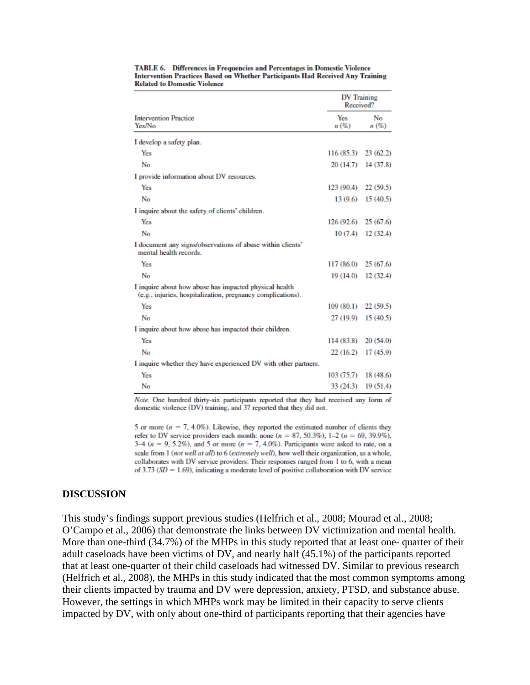|                                                                                                                       | <b>DV</b> Training<br>Received? |            |
|-----------------------------------------------------------------------------------------------------------------------|---------------------------------|------------|
| <b>Intervention Practice</b><br>Yes/No                                                                                | Yes<br>n(%)                     | No<br>n(%) |
| I develop a safety plan.                                                                                              |                                 |            |
| Yes                                                                                                                   | 116 (85.3)                      | 23(62.2)   |
| No                                                                                                                    | 20 (14.7)                       | 14 (37.8)  |
| I provide information about DV resources.                                                                             |                                 |            |
| Yes                                                                                                                   | 123 (90.4)                      | 22(59.5)   |
| No                                                                                                                    | 13 (9.6)                        | 15(40.5)   |
| I inquire about the safety of clients' children.                                                                      |                                 |            |
| Yes                                                                                                                   | 126 (92.6)                      | 25(67.6)   |
| No                                                                                                                    | 10(7.4)                         | 12(32.4)   |
| I document any signs/observations of abuse within clients'<br>mental health records.                                  |                                 |            |
| Yes                                                                                                                   | 117 (86.0)                      | 25 (67.6)  |
| No                                                                                                                    | 19 (14.0)                       | 12(32.4)   |
| I inquire about how abuse has impacted physical health<br>(e.g., injuries, hospitalization, pregnancy complications). |                                 |            |
| Yes                                                                                                                   | $109(80.1)$ 22 (59.5)           |            |
| No                                                                                                                    | 27 (19.9)                       | 15(40.5)   |
| I inquire about how abuse has impacted their children.                                                                |                                 |            |
| Yes                                                                                                                   | 114 (83.8)                      | 20(54.0)   |
| No                                                                                                                    | 22 (16.2)                       | 17 (45.9)  |
| I inquire whether they have experienced DV with other partners.                                                       |                                 |            |
| Yes                                                                                                                   | 103(75.7)                       | 18 (48.6)  |
| No                                                                                                                    | 33 (24.3)                       | 19 (51.4)  |

TABLE 6. Differences in Frequencies and Percentages in Domestic Violence **Intervention Practices Based on Whether Participants Had Received Any Training Related to Domestic Violence** 

Note. One hundred thirty-six participants reported that they had received any form of domestic violence (DV) training, and 37 reported that they did not.

5 or more ( $n = 7, 4.0\%$ ). Likewise, they reported the estimated number of clients they refer to DV service providers each month: none  $(n = 87, 50.3\%)$ , 1-2  $(n = 69, 39.9\%)$ , 3–4 ( $n = 9, 5.2\%$ ), and 5 or more ( $n = 7, 4.0\%$ ). Participants were asked to rate, on a scale from 1 (not well at all) to 6 (extremely well), how well their organization, as a whole, collaborates with DV service providers. Their responses ranged from 1 to 6, with a mean of 3.73 ( $SD = 1.69$ ), indicating a moderate level of positive collaboration with DV service

#### **DISCUSSION**

This study's findings support previous studies (Helfrich et al., 2008; Mourad et al., 2008; O'Campo et al., 2006) that demonstrate the links between DV victimization and mental health. More than one-third (34.7%) of the MHPs in this study reported that at least one- quarter of their adult caseloads have been victims of DV, and nearly half (45.1%) of the participants reported that at least one-quarter of their child caseloads had witnessed DV. Similar to previous research (Helfrich et al., 2008), the MHPs in this study indicated that the most common symptoms among their clients impacted by trauma and DV were depression, anxiety, PTSD, and substance abuse. However, the settings in which MHPs work may be limited in their capacity to serve clients impacted by DV, with only about one-third of participants reporting that their agencies have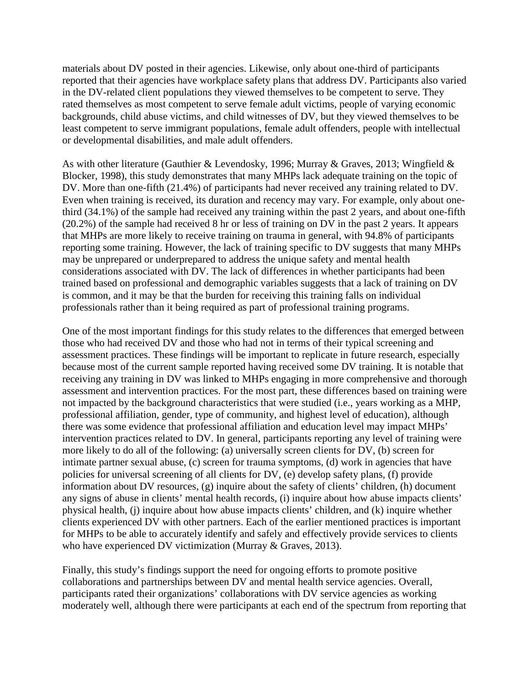materials about DV posted in their agencies. Likewise, only about one-third of participants reported that their agencies have workplace safety plans that address DV. Participants also varied in the DV-related client populations they viewed themselves to be competent to serve. They rated themselves as most competent to serve female adult victims, people of varying economic backgrounds, child abuse victims, and child witnesses of DV, but they viewed themselves to be least competent to serve immigrant populations, female adult offenders, people with intellectual or developmental disabilities, and male adult offenders.

As with other literature (Gauthier & Levendosky, 1996; Murray & Graves, 2013; Wingfield & Blocker, 1998), this study demonstrates that many MHPs lack adequate training on the topic of DV. More than one-fifth (21.4%) of participants had never received any training related to DV. Even when training is received, its duration and recency may vary. For example, only about onethird (34.1%) of the sample had received any training within the past 2 years, and about one-fifth (20.2%) of the sample had received 8 hr or less of training on DV in the past 2 years. It appears that MHPs are more likely to receive training on trauma in general, with 94.8% of participants reporting some training. However, the lack of training specific to DV suggests that many MHPs may be unprepared or underprepared to address the unique safety and mental health considerations associated with DV. The lack of differences in whether participants had been trained based on professional and demographic variables suggests that a lack of training on DV is common, and it may be that the burden for receiving this training falls on individual professionals rather than it being required as part of professional training programs.

One of the most important findings for this study relates to the differences that emerged between those who had received DV and those who had not in terms of their typical screening and assessment practices. These findings will be important to replicate in future research, especially because most of the current sample reported having received some DV training. It is notable that receiving any training in DV was linked to MHPs engaging in more comprehensive and thorough assessment and intervention practices. For the most part, these differences based on training were not impacted by the background characteristics that were studied (i.e., years working as a MHP, professional affiliation, gender, type of community, and highest level of education), although there was some evidence that professional affiliation and education level may impact MHPs' intervention practices related to DV. In general, participants reporting any level of training were more likely to do all of the following: (a) universally screen clients for DV, (b) screen for intimate partner sexual abuse, (c) screen for trauma symptoms, (d) work in agencies that have policies for universal screening of all clients for DV, (e) develop safety plans, (f) provide information about DV resources, (g) inquire about the safety of clients' children, (h) document any signs of abuse in clients' mental health records, (i) inquire about how abuse impacts clients' physical health, (j) inquire about how abuse impacts clients' children, and (k) inquire whether clients experienced DV with other partners. Each of the earlier mentioned practices is important for MHPs to be able to accurately identify and safely and effectively provide services to clients who have experienced DV victimization (Murray & Graves, 2013).

Finally, this study's findings support the need for ongoing efforts to promote positive collaborations and partnerships between DV and mental health service agencies. Overall, participants rated their organizations' collaborations with DV service agencies as working moderately well, although there were participants at each end of the spectrum from reporting that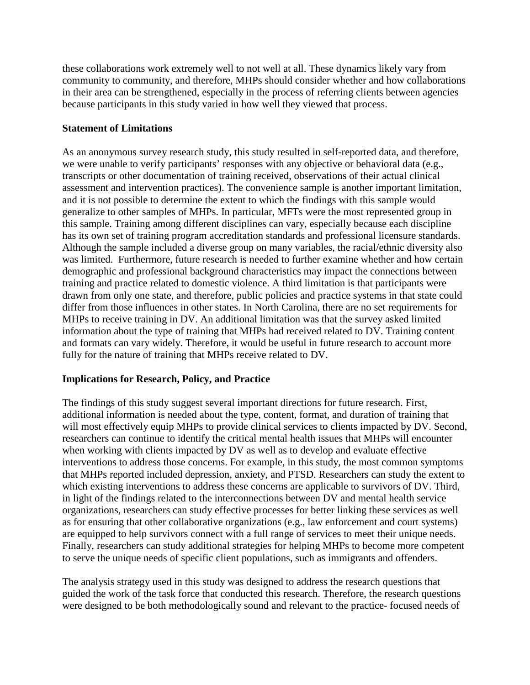these collaborations work extremely well to not well at all. These dynamics likely vary from community to community, and therefore, MHPs should consider whether and how collaborations in their area can be strengthened, especially in the process of referring clients between agencies because participants in this study varied in how well they viewed that process.

## **Statement of Limitations**

As an anonymous survey research study, this study resulted in self-reported data, and therefore, we were unable to verify participants' responses with any objective or behavioral data (e.g., transcripts or other documentation of training received, observations of their actual clinical assessment and intervention practices). The convenience sample is another important limitation, and it is not possible to determine the extent to which the findings with this sample would generalize to other samples of MHPs. In particular, MFTs were the most represented group in this sample. Training among different disciplines can vary, especially because each discipline has its own set of training program accreditation standards and professional licensure standards. Although the sample included a diverse group on many variables, the racial/ethnic diversity also was limited. Furthermore, future research is needed to further examine whether and how certain demographic and professional background characteristics may impact the connections between training and practice related to domestic violence. A third limitation is that participants were drawn from only one state, and therefore, public policies and practice systems in that state could differ from those influences in other states. In North Carolina, there are no set requirements for MHPs to receive training in DV. An additional limitation was that the survey asked limited information about the type of training that MHPs had received related to DV. Training content and formats can vary widely. Therefore, it would be useful in future research to account more fully for the nature of training that MHPs receive related to DV.

# **Implications for Research, Policy, and Practice**

The findings of this study suggest several important directions for future research. First, additional information is needed about the type, content, format, and duration of training that will most effectively equip MHPs to provide clinical services to clients impacted by DV. Second, researchers can continue to identify the critical mental health issues that MHPs will encounter when working with clients impacted by DV as well as to develop and evaluate effective interventions to address those concerns. For example, in this study, the most common symptoms that MHPs reported included depression, anxiety, and PTSD. Researchers can study the extent to which existing interventions to address these concerns are applicable to survivors of DV. Third, in light of the findings related to the interconnections between DV and mental health service organizations, researchers can study effective processes for better linking these services as well as for ensuring that other collaborative organizations (e.g., law enforcement and court systems) are equipped to help survivors connect with a full range of services to meet their unique needs. Finally, researchers can study additional strategies for helping MHPs to become more competent to serve the unique needs of specific client populations, such as immigrants and offenders.

The analysis strategy used in this study was designed to address the research questions that guided the work of the task force that conducted this research. Therefore, the research questions were designed to be both methodologically sound and relevant to the practice- focused needs of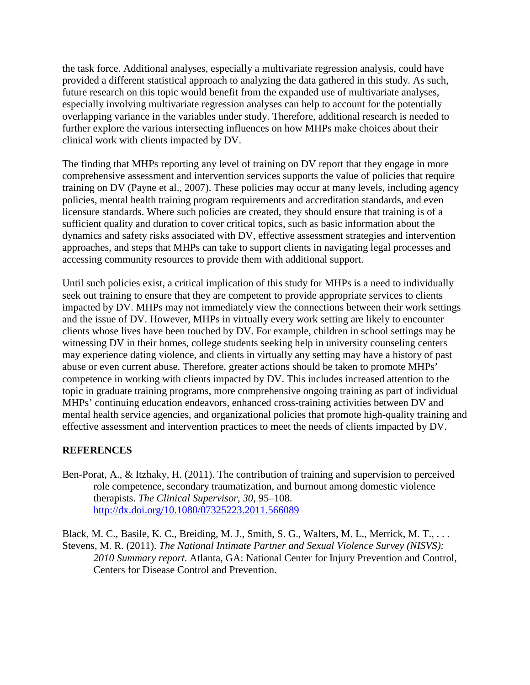the task force. Additional analyses, especially a multivariate regression analysis, could have provided a different statistical approach to analyzing the data gathered in this study. As such, future research on this topic would benefit from the expanded use of multivariate analyses, especially involving multivariate regression analyses can help to account for the potentially overlapping variance in the variables under study. Therefore, additional research is needed to further explore the various intersecting influences on how MHPs make choices about their clinical work with clients impacted by DV.

The finding that MHPs reporting any level of training on DV report that they engage in more comprehensive assessment and intervention services supports the value of policies that require training on DV (Payne et al., 2007). These policies may occur at many levels, including agency policies, mental health training program requirements and accreditation standards, and even licensure standards. Where such policies are created, they should ensure that training is of a sufficient quality and duration to cover critical topics, such as basic information about the dynamics and safety risks associated with DV, effective assessment strategies and intervention approaches, and steps that MHPs can take to support clients in navigating legal processes and accessing community resources to provide them with additional support.

Until such policies exist, a critical implication of this study for MHPs is a need to individually seek out training to ensure that they are competent to provide appropriate services to clients impacted by DV. MHPs may not immediately view the connections between their work settings and the issue of DV. However, MHPs in virtually every work setting are likely to encounter clients whose lives have been touched by DV. For example, children in school settings may be witnessing DV in their homes, college students seeking help in university counseling centers may experience dating violence, and clients in virtually any setting may have a history of past abuse or even current abuse. Therefore, greater actions should be taken to promote MHPs' competence in working with clients impacted by DV. This includes increased attention to the topic in graduate training programs, more comprehensive ongoing training as part of individual MHPs' continuing education endeavors, enhanced cross-training activities between DV and mental health service agencies, and organizational policies that promote high-quality training and effective assessment and intervention practices to meet the needs of clients impacted by DV.

### **REFERENCES**

Ben-Porat, A., & Itzhaky, H. (2011). The contribution of training and supervision to perceived role competence, secondary traumatization, and burnout among domestic violence therapists. *The Clinical Supervisor*, *30*, 95–108. <http://dx.doi.org/10.1080/07325223.2011.566089>

Black, M. C., Basile, K. C., Breiding, M. J., Smith, S. G., Walters, M. L., Merrick, M. T., . . . Stevens, M. R. (2011). *The National Intimate Partner and Sexual Violence Survey (NISVS): 2010 Summary report*. Atlanta, GA: National Center for Injury Prevention and Control, Centers for Disease Control and Prevention.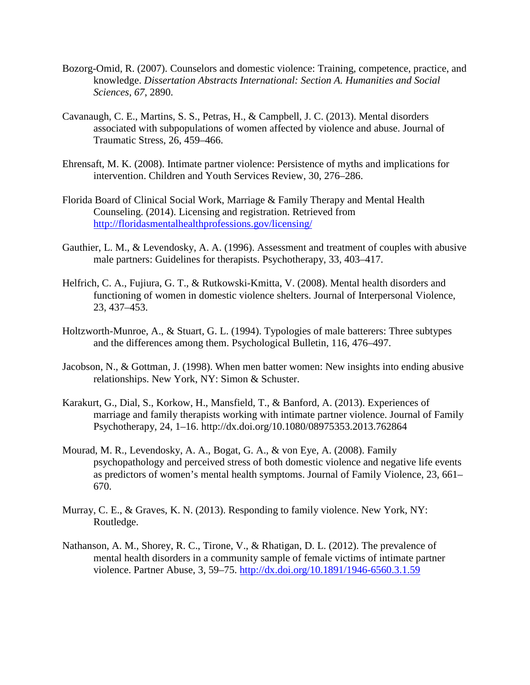- Bozorg-Omid, R. (2007). Counselors and domestic violence: Training, competence, practice, and knowledge. *Dissertation Abstracts International: Section A. Humanities and Social Sciences*, *67*, 2890.
- Cavanaugh, C. E., Martins, S. S., Petras, H., & Campbell, J. C. (2013). Mental disorders associated with subpopulations of women affected by violence and abuse. Journal of Traumatic Stress, 26, 459–466.
- Ehrensaft, M. K. (2008). Intimate partner violence: Persistence of myths and implications for intervention. Children and Youth Services Review, 30, 276–286.
- Florida Board of Clinical Social Work, Marriage & Family Therapy and Mental Health Counseling. (2014). Licensing and registration. Retrieved from <http://floridasmentalhealthprofessions.gov/licensing/>
- Gauthier, L. M., & Levendosky, A. A. (1996). Assessment and treatment of couples with abusive male partners: Guidelines for therapists. Psychotherapy, 33, 403–417.
- Helfrich, C. A., Fujiura, G. T., & Rutkowski-Kmitta, V. (2008). Mental health disorders and functioning of women in domestic violence shelters. Journal of Interpersonal Violence, 23, 437–453.
- Holtzworth-Munroe, A., & Stuart, G. L. (1994). Typologies of male batterers: Three subtypes and the differences among them. Psychological Bulletin, 116, 476–497.
- Jacobson, N., & Gottman, J. (1998). When men batter women: New insights into ending abusive relationships. New York, NY: Simon & Schuster.
- Karakurt, G., Dial, S., Korkow, H., Mansfield, T., & Banford, A. (2013). Experiences of marriage and family therapists working with intimate partner violence. Journal of Family Psychotherapy, 24, 1–16. http://dx.doi.org/10.1080/08975353.2013.762864
- Mourad, M. R., Levendosky, A. A., Bogat, G. A., & von Eye, A. (2008). Family psychopathology and perceived stress of both domestic violence and negative life events as predictors of women's mental health symptoms. Journal of Family Violence, 23, 661– 670.
- Murray, C. E., & Graves, K. N. (2013). Responding to family violence. New York, NY: Routledge.
- Nathanson, A. M., Shorey, R. C., Tirone, V., & Rhatigan, D. L. (2012). The prevalence of mental health disorders in a community sample of female victims of intimate partner violence. Partner Abuse, 3, 59–75.<http://dx.doi.org/10.1891/1946-6560.3.1.59>